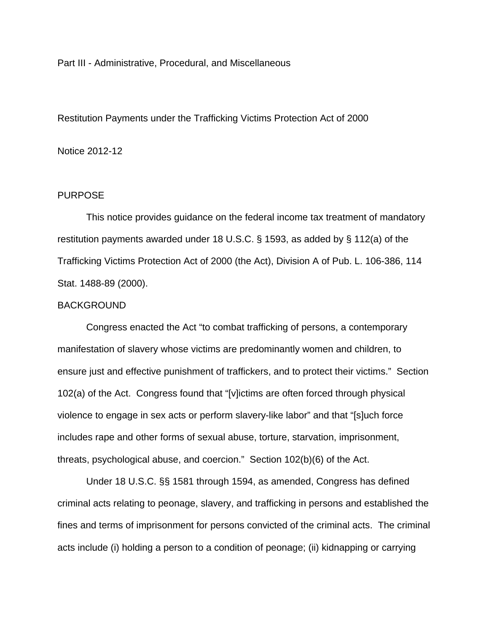Part III - Administrative, Procedural, and Miscellaneous

Restitution Payments under the Trafficking Victims Protection Act of 2000

# Notice 2012-12

# PURPOSE

 This notice provides guidance on the federal income tax treatment of mandatory restitution payments awarded under 18 U.S.C. § 1593, as added by § 112(a) of the Trafficking Victims Protection Act of 2000 (the Act), Division A of Pub. L. 106-386, 114 Stat. 1488-89 (2000).

### BACKGROUND

Congress enacted the Act "to combat trafficking of persons, a contemporary manifestation of slavery whose victims are predominantly women and children, to ensure just and effective punishment of traffickers, and to protect their victims." Section 102(a) of the Act. Congress found that "[v]ictims are often forced through physical violence to engage in sex acts or perform slavery-like labor" and that "[s]uch force includes rape and other forms of sexual abuse, torture, starvation, imprisonment, threats, psychological abuse, and coercion." Section 102(b)(6) of the Act.

Under 18 U.S.C. §§ 1581 through 1594, as amended, Congress has defined criminal acts relating to peonage, slavery, and trafficking in persons and established the fines and terms of imprisonment for persons convicted of the criminal acts. The criminal acts include (i) holding a person to a condition of peonage; (ii) kidnapping or carrying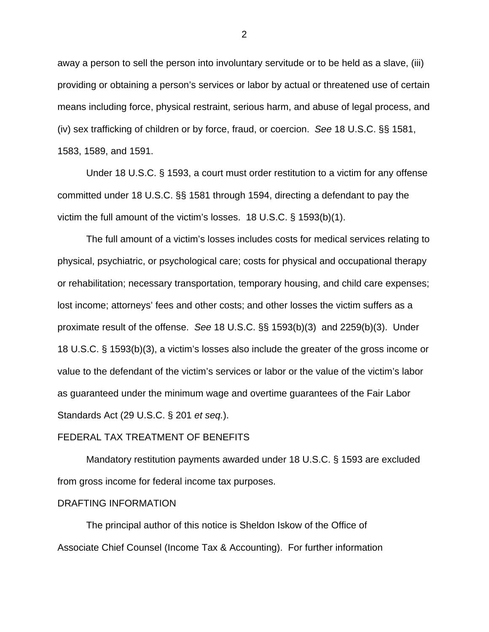away a person to sell the person into involuntary servitude or to be held as a slave, (iii) providing or obtaining a person's services or labor by actual or threatened use of certain means including force, physical restraint, serious harm, and abuse of legal process, and (iv) sex trafficking of children or by force, fraud, or coercion. *See* 18 U.S.C. §§ 1581, 1583, 1589, and 1591.

Under 18 U.S.C. § 1593, a court must order restitution to a victim for any offense committed under 18 U.S.C. §§ 1581 through 1594, directing a defendant to pay the victim the full amount of the victim's losses. 18 U.S.C. § 1593(b)(1).

The full amount of a victim's losses includes costs for medical services relating to physical, psychiatric, or psychological care; costs for physical and occupational therapy or rehabilitation; necessary transportation, temporary housing, and child care expenses; lost income; attorneys' fees and other costs; and other losses the victim suffers as a proximate result of the offense. *See* 18 U.S.C. §§ 1593(b)(3) and 2259(b)(3). Under 18 U.S.C. § 1593(b)(3), a victim's losses also include the greater of the gross income or value to the defendant of the victim's services or labor or the value of the victim's labor as guaranteed under the minimum wage and overtime guarantees of the Fair Labor Standards Act (29 U.S.C. § 201 *et seq.*).

### FEDERAL TAX TREATMENT OF BENEFITS

 Mandatory restitution payments awarded under 18 U.S.C. § 1593 are excluded from gross income for federal income tax purposes.

### DRAFTING INFORMATION

 The principal author of this notice is Sheldon Iskow of the Office of Associate Chief Counsel (Income Tax & Accounting). For further information

2